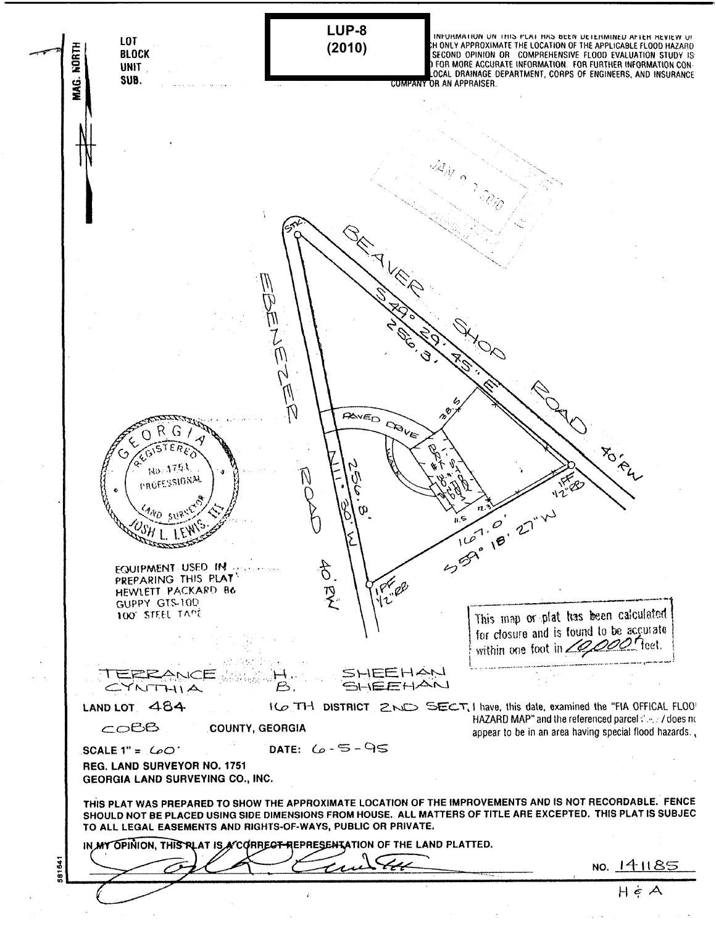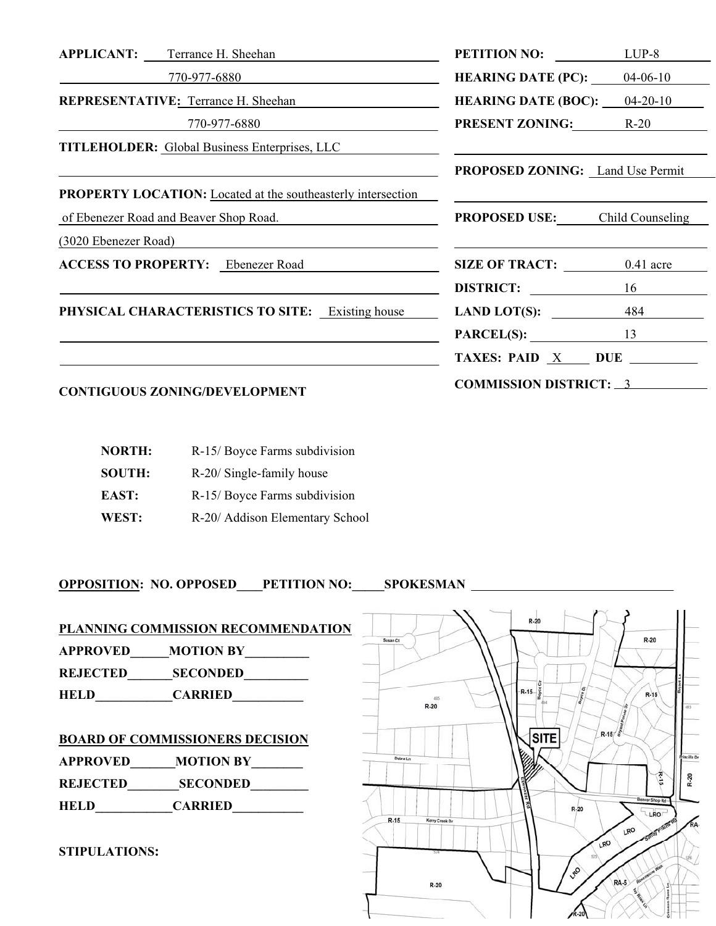| <b>APPLICANT:</b> Terrance H. Sheehan                               | <b>PETITION NO:</b>                     | $LUP-8$ |  |
|---------------------------------------------------------------------|-----------------------------------------|---------|--|
| 770-977-6880                                                        | <b>HEARING DATE (PC):</b> $04-06-10$    |         |  |
| REPRESENTATIVE: Terrance H. Sheehan                                 | <b>HEARING DATE (BOC):</b> $04-20-10$   |         |  |
| 770-977-6880                                                        | <b>PRESENT ZONING:</b> R-20             |         |  |
| <b>TITLEHOLDER:</b> Global Business Enterprises, LLC                |                                         |         |  |
|                                                                     | <b>PROPOSED ZONING:</b> Land Use Permit |         |  |
| <b>PROPERTY LOCATION:</b> Located at the southeasterly intersection |                                         |         |  |
| of Ebenezer Road and Beaver Shop Road.                              | <b>PROPOSED USE:</b> Child Counseling   |         |  |
| (3020 Ebenezer Road)                                                |                                         |         |  |
| <b>ACCESS TO PROPERTY:</b> Ebenezer Road                            | SIZE OF TRACT: 0.41 acre                |         |  |
|                                                                     | DISTRICT:                               | 16      |  |
| <b>PHYSICAL CHARACTERISTICS TO SITE:</b> Existing house             | LAND LOT(S): $484$                      |         |  |
|                                                                     | $PARCEL(S):$ 13                         |         |  |
|                                                                     | TAXES: PAID $X$ DUE $\_\_\_\_\_\$       |         |  |
| <b>CONTIGUOUS ZONING/DEVELOPMENT</b>                                | <b>COMMISSION DISTRICT: 3</b>           |         |  |

| <b>NORTH:</b> | R-15/Boyce Farms subdivision    |
|---------------|---------------------------------|
| <b>SOUTH:</b> | R-20/ Single-family house       |
| EAST:         | R-15/Boyce Farms subdivision    |
| WEST:         | R-20/ Addison Elementary School |

**OPPOSITION: NO. OPPOSED\_\_\_\_PETITION NO:\_\_\_\_\_SPOKESMAN** 

| <b>APPROVED</b><br><b>REJECTED</b><br><b>HELD</b> | PLANNING COMMISSION RECOMMENDATION<br><b>MOTION BY</b><br><b>SECONDED</b><br><b>CARRIED</b>     | Susan Ct | 485<br>$R-20$            | $R - i$<br>$R-15$ |
|---------------------------------------------------|-------------------------------------------------------------------------------------------------|----------|--------------------------|-------------------|
| <b>APPROVED</b><br><b>REJECTED</b><br><b>HELD</b> | <b>BOARD OF COMMISSIONERS DECISION</b><br><b>MOTION BY</b><br><b>SECONDED</b><br><b>CARRIED</b> | Debra Ln |                          |                   |
| <b>STIPULATIONS:</b>                              |                                                                                                 | $R-15$   | Kerry Creek Dr<br>$R-20$ |                   |

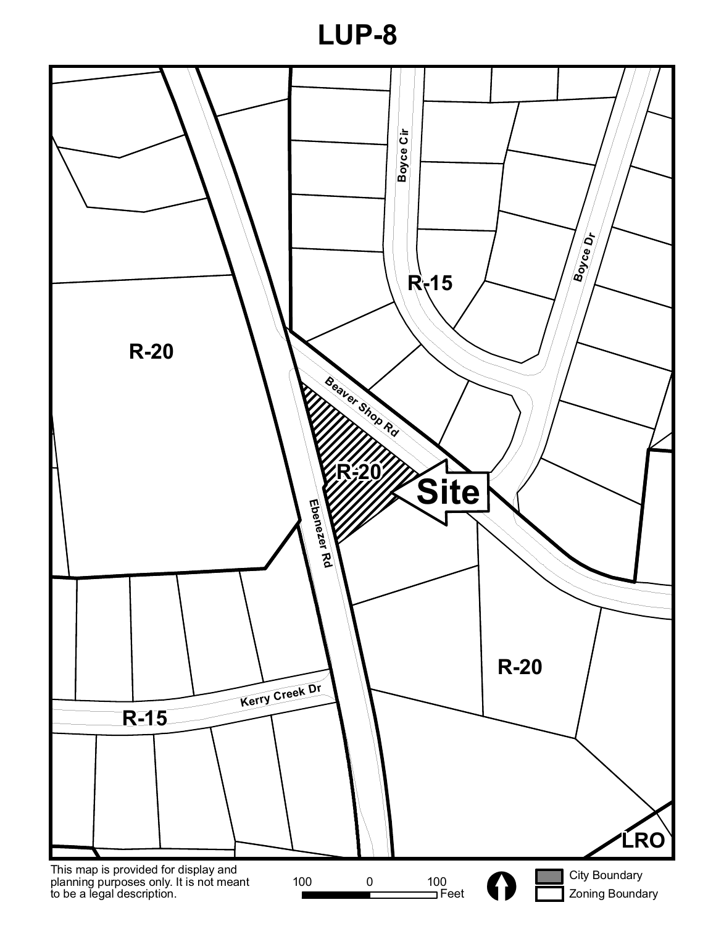**LUP-8**

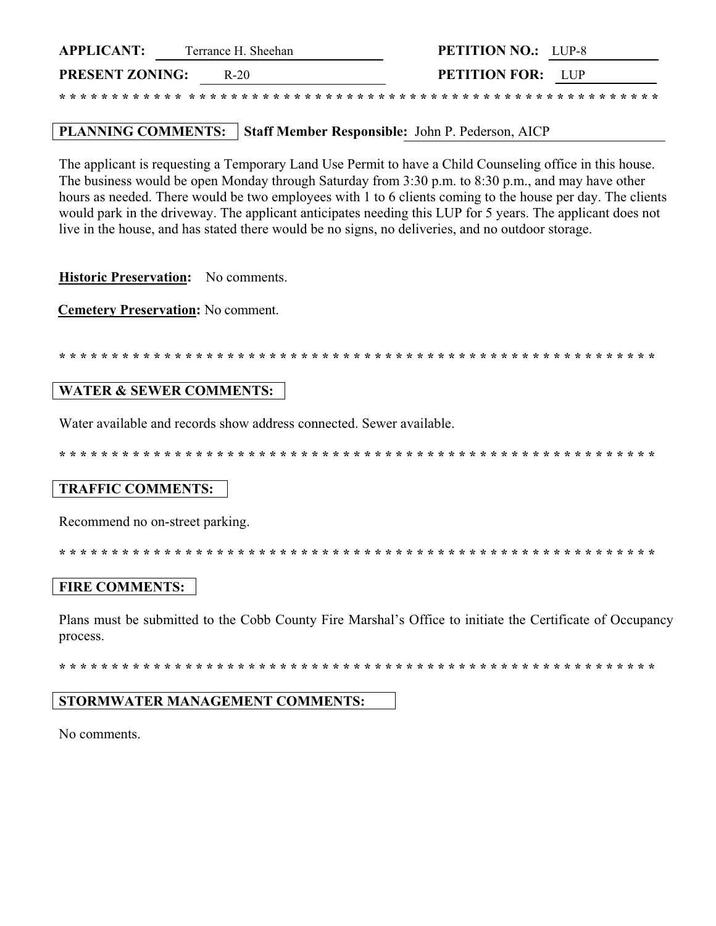| <b>APPLICANT:</b><br>Terrance H. Sheehan |  |
|------------------------------------------|--|
|------------------------------------------|--|

 $R-20$ 

**PRESENT ZONING:** 

**PETITION NO.: LUP-8** PETITION FOR: LUP

\* \* \* \* \* \* \* \* \* \* \* \* \* \* \* \* \* \* \* \*

# PLANNING COMMENTS: Staff Member Responsible: John P. Pederson, AICP

The applicant is requesting a Temporary Land Use Permit to have a Child Counseling office in this house. The business would be open Monday through Saturday from 3:30 p.m. to 8:30 p.m., and may have other hours as needed. There would be two employees with 1 to 6 clients coming to the house per day. The clients would park in the driveway. The applicant anticipates needing this LUP for 5 years. The applicant does not live in the house, and has stated there would be no signs, no deliveries, and no outdoor storage.

Historic Preservation: No comments.

**Cemetery Preservation: No comment.** 

#### **WATER & SEWER COMMENTS:**

Water available and records show address connected. Sewer available.

### **TRAFFIC COMMENTS:**

Recommend no on-street parking.

### **FIRE COMMENTS:**

Plans must be submitted to the Cobb County Fire Marshal's Office to initiate the Certificate of Occupancy process.

#### STORMWATER MANAGEMENT COMMENTS:

No comments.